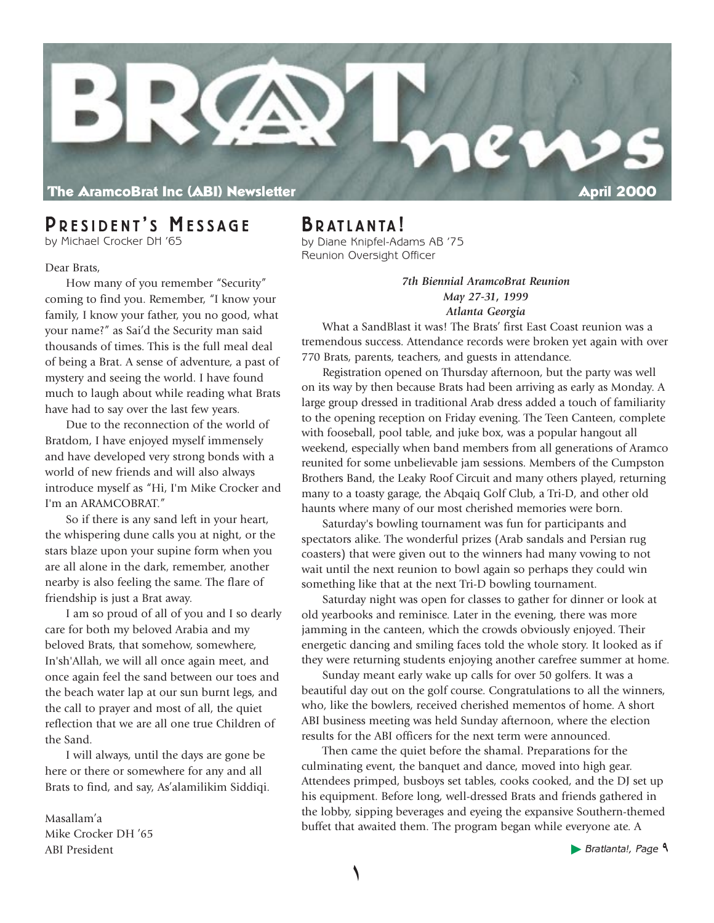

## **P RESIDENT ' S M ESSAGE**

by Michael Crocker DH '65

#### Dear Brats,

How many of you remember "Security" coming to find you. Remember, "I know your family, I know your father, you no good, what your name?" as Sai'd the Security man said thousands of times. This is the full meal deal of being a Brat. A sense of adventure, a past of mystery and seeing the world. I have found much to laugh about while reading what Brats have had to say over the last few years.

Due to the reconnection of the world of Bratdom, I have enjoyed myself immensely and have developed very strong bonds with a world of new friends and will also always introduce myself as "Hi, I'm Mike Crocker and I'm an ARAMCOBRAT."

So if there is any sand left in your heart, the whispering dune calls you at night, or the stars blaze upon your supine form when you are all alone in the dark, remember, another nearby is also feeling the same. The flare of friendship is just a Brat away.

I am so proud of all of you and I so dearly care for both my beloved Arabia and my beloved Brats, that somehow, somewhere, In'sh'Allah, we will all once again meet, and once again feel the sand between our toes and the beach water lap at our sun burnt legs, and the call to prayer and most of all, the quiet reflection that we are all one true Children of the Sand.

I will always, until the days are gone be here or there or somewhere for any and all Brats to find, and say, As'alamilikim Siddiqi.

Masallam'a Mike Crocker DH '65 ABI President

## **B RATLANTA !**

by Diane Knipfel-Adams AB '75 Reunion Oversight Officer

> *7th Biennial AramcoBrat Reunion May 27-31, 1999 Atlanta Georgia*

What a SandBlast it was! The Brats' first East Coast reunion was a tremendous success. Attendance records were broken yet again with over 770 Brats, parents, teachers, and guests in attendance.

Registration opened on Thursday afternoon, but the party was well on its way by then because Brats had been arriving as early as Monday. A large group dressed in traditional Arab dress added a touch of familiarity to the opening reception on Friday evening. The Teen Canteen, complete with fooseball, pool table, and juke box, was a popular hangout all weekend, especially when band members from all generations of Aramco reunited for some unbelievable jam sessions. Members of the Cumpston Brothers Band, the Leaky Roof Circuit and many others played, returning many to a toasty garage, the Abqaiq Golf Club, a Tri-D, and other old haunts where many of our most cherished memories were born.

Saturday's bowling tournament was fun for participants and spectators alike. The wonderful prizes (Arab sandals and Persian rug coasters) that were given out to the winners had many vowing to not wait until the next reunion to bowl again so perhaps they could win something like that at the next Tri-D bowling tournament.

Saturday night was open for classes to gather for dinner or look at old yearbooks and reminisce. Later in the evening, there was more jamming in the canteen, which the crowds obviously enjoyed. Their energetic dancing and smiling faces told the whole story. It looked as if they were returning students enjoying another carefree summer at home.

Sunday meant early wake up calls for over 50 golfers. It was a beautiful day out on the golf course. Congratulations to all the winners, who, like the bowlers, received cherished mementos of home. A short ABI business meeting was held Sunday afternoon, where the election results for the ABI officers for the next term were announced.

Then came the quiet before the shamal. Preparations for the culminating event, the banquet and dance, moved into high gear. Attendees primped, busboys set tables, cooks cooked, and the DJ set up his equipment. Before long, well-dressed Brats and friends gathered in the lobby, sipping beverages and eyeing the expansive Southern-themed buffet that awaited them. The program began while everyone ate. A

© Bratlanta!, Page π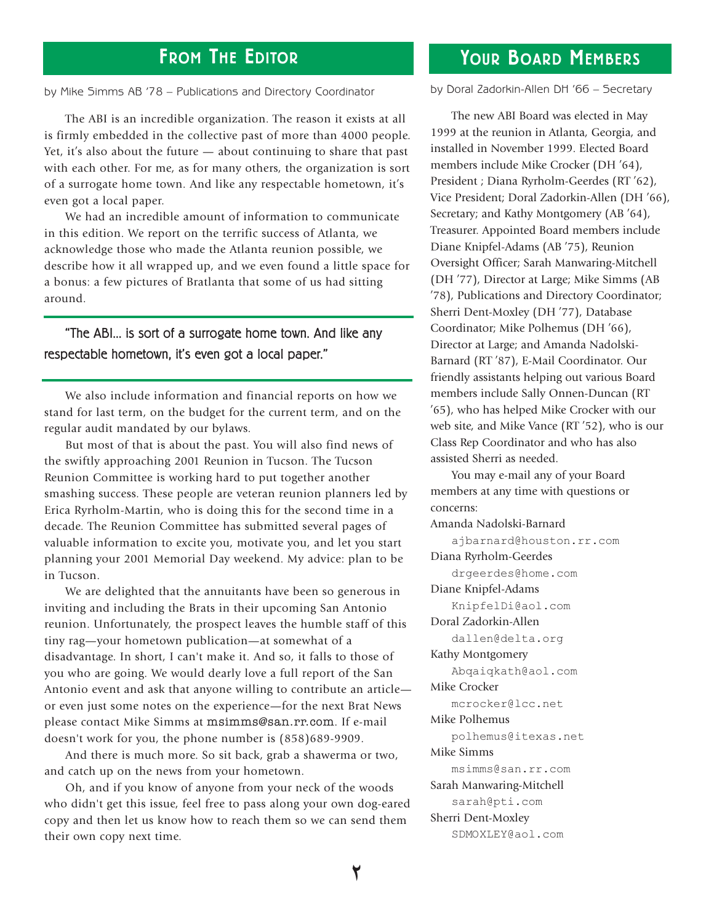## **FROM THE EDITOR**

by Mike Simms AB '78 – Publications and Directory Coordinator

The ABI is an incredible organization. The reason it exists at all is firmly embedded in the collective past of more than 4000 people. Yet, it's also about the future — about continuing to share that past with each other. For me, as for many others, the organization is sort of a surrogate home town. And like any respectable hometown, it's even got a local paper.

We had an incredible amount of information to communicate in this edition. We report on the terrific success of Atlanta, we acknowledge those who made the Atlanta reunion possible, we describe how it all wrapped up, and we even found a little space for a bonus: a few pictures of Bratlanta that some of us had sitting around.

"The ABI... is sort of a surrogate home town. And like any respectable hometown, it's even got a local paper."

We also include information and financial reports on how we stand for last term, on the budget for the current term, and on the regular audit mandated by our bylaws.

But most of that is about the past. You will also find news of the swiftly approaching 2001 Reunion in Tucson. The Tucson Reunion Committee is working hard to put together another smashing success. These people are veteran reunion planners led by Erica Ryrholm-Martin, who is doing this for the second time in a decade. The Reunion Committee has submitted several pages of valuable information to excite you, motivate you, and let you start planning your 2001 Memorial Day weekend. My advice: plan to be in Tucson.

We are delighted that the annuitants have been so generous in inviting and including the Brats in their upcoming San Antonio reunion. Unfortunately, the prospect leaves the humble staff of this tiny rag—your hometown publication—at somewhat of a disadvantage. In short, I can't make it. And so, it falls to those of you who are going. We would dearly love a full report of the San Antonio event and ask that anyone willing to contribute an article or even just some notes on the experience—for the next Brat News please contact Mike Simms at msimms@san.rr.com. If e-mail doesn't work for you, the phone number is (858)689-9909.

And there is much more. So sit back, grab a shawerma or two, and catch up on the news from your hometown.

Oh, and if you know of anyone from your neck of the woods who didn't get this issue, feel free to pass along your own dog-eared copy and then let us know how to reach them so we can send them their own copy next time.

## **YOUR BOARD MEMBERS**

by Doral Zadorkin-Allen DH '66 – Secretary

The new ABI Board was elected in May 1999 at the reunion in Atlanta, Georgia, and installed in November 1999. Elected Board members include Mike Crocker (DH '64), President ; Diana Ryrholm-Geerdes (RT '62), Vice President; Doral Zadorkin-Allen (DH '66), Secretary; and Kathy Montgomery (AB '64), Treasurer. Appointed Board members include Diane Knipfel-Adams (AB '75), Reunion Oversight Officer; Sarah Manwaring-Mitchell (DH '77), Director at Large; Mike Simms (AB '78), Publications and Directory Coordinator; Sherri Dent-Moxley (DH '77), Database Coordinator; Mike Polhemus (DH '66), Director at Large; and Amanda Nadolski-Barnard (RT '87), E-Mail Coordinator. Our friendly assistants helping out various Board members include Sally Onnen-Duncan (RT '65), who has helped Mike Crocker with our web site, and Mike Vance (RT '52), who is our Class Rep Coordinator and who has also assisted Sherri as needed.

You may e-mail any of your Board members at any time with questions or concerns:

Amanda Nadolski-Barnard

ajbarnard@houston.rr.com Diana Ryrholm-Geerdes drgeerdes@home.com Diane Knipfel-Adams KnipfelDi@aol.com Doral Zadorkin-Allen dallen@delta.org Kathy Montgomery Abqaiqkath@aol.com Mike Crocker mcrocker@lcc.net Mike Polhemus polhemus@itexas.net Mike Simms msimms@san.rr.com Sarah Manwaring-Mitchell sarah@pti.com Sherri Dent-Moxley SDMOXLEY@aol.com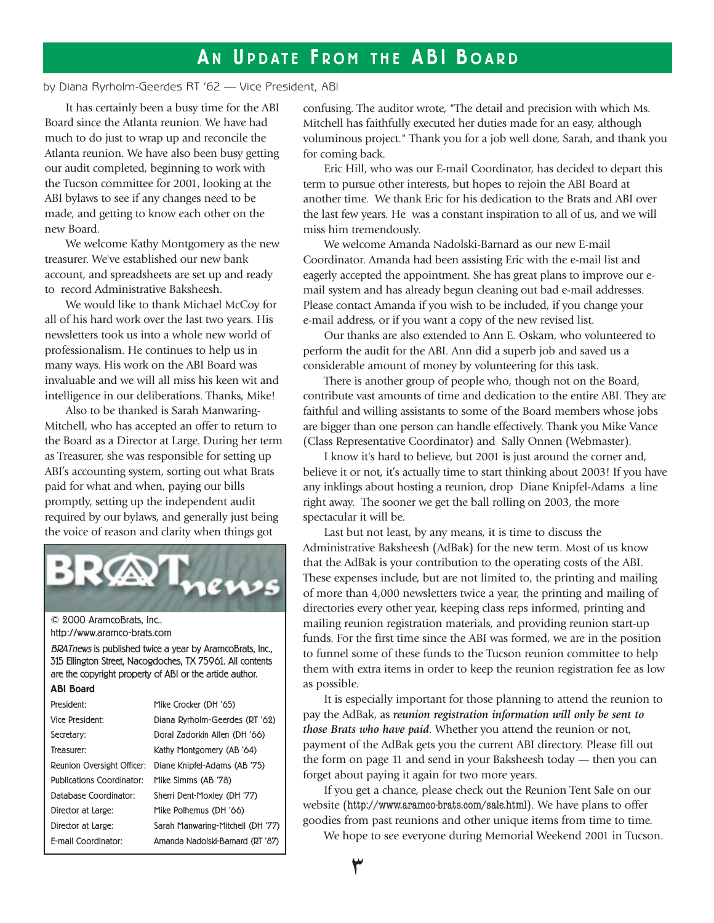# **A N U P D AT E F ROM T H E A B I B OAR D**

### by Diana Ryrholm-Geerdes RT '62 — Vice President, ABI

It has certainly been a busy time for the ABI Board since the Atlanta reunion. We have had much to do just to wrap up and reconcile the Atlanta reunion. We have also been busy getting our audit completed, beginning to work with the Tucson committee for 2001, looking at the ABI bylaws to see if any changes need to be made, and getting to know each other on the new Board.

We welcome Kathy Montgomery as the new treasurer. We've established our new bank account, and spreadsheets are set up and ready to record Administrative Baksheesh.

We would like to thank Michael McCoy for all of his hard work over the last two years. His newsletters took us into a whole new world of professionalism. He continues to help us in many ways. His work on the ABI Board was invaluable and we will all miss his keen wit and intelligence in our deliberations. Thanks, Mike!

Also to be thanked is Sarah Manwaring-Mitchell, who has accepted an offer to return to the Board as a Director at Large. During her term as Treasurer, she was responsible for setting up ABI's accounting system, sorting out what Brats paid for what and when, paying our bills promptly, setting up the independent audit required by our bylaws, and generally just being the voice of reason and clarity when things got



© 2000 AramcoBrats, Inc.. http://www.aramco-brats.com

BRATnews is published twice a year by AramcoBrats, Inc., 315 Ellington Street, Nacogdoches, TX 75961. All contents are the copyright property of ABI or the article author.

**ABI Board**

| President:                       | Mike Crocker (DH '65)             |
|----------------------------------|-----------------------------------|
| Vice President:                  | Diana Ryrholm-Geerdes (RT '62)    |
| Secretary:                       | Doral Zadorkin Allen (DH '66)     |
| Treasurer:                       | Kathy Montgomery (AB '64)         |
| Reunion Oversight Officer:       | Diane Knipfel-Adams (AB '75)      |
| <b>Publications Coordinator:</b> | Mike Simms (AB '78)               |
| Database Coordinator:            | Sherri Dent-Moxley (DH '77)       |
| Director at Large:               | Mike Polhemus (DH '66)            |
| Director at Large:               | Sarah Manwaring-Mitchell (DH '77) |
| E-mail Coordinator:              | Amanda Nadolski-Barnard (RT '87)  |
|                                  |                                   |

confusing. The auditor wrote, "The detail and precision with which Ms. Mitchell has faithfully executed her duties made for an easy, although voluminous project." Thank you for a job well done, Sarah, and thank you for coming back.

Eric Hill, who was our E-mail Coordinator, has decided to depart this term to pursue other interests, but hopes to rejoin the ABI Board at another time. We thank Eric for his dedication to the Brats and ABI over the last few years. He was a constant inspiration to all of us, and we will miss him tremendously.

We welcome Amanda Nadolski-Barnard as our new E-mail Coordinator. Amanda had been assisting Eric with the e-mail list and eagerly accepted the appointment. She has great plans to improve our email system and has already begun cleaning out bad e-mail addresses. Please contact Amanda if you wish to be included, if you change your e-mail address, or if you want a copy of the new revised list.

Our thanks are also extended to Ann E. Oskam, who volunteered to perform the audit for the ABI. Ann did a superb job and saved us a considerable amount of money by volunteering for this task.

There is another group of people who, though not on the Board, contribute vast amounts of time and dedication to the entire ABI. They are faithful and willing assistants to some of the Board members whose jobs are bigger than one person can handle effectively. Thank you Mike Vance (Class Representative Coordinator) and Sally Onnen (Webmaster).

I know it's hard to believe, but 2001 is just around the corner and, believe it or not, it's actually time to start thinking about 2003! If you have any inklings about hosting a reunion, drop Diane Knipfel-Adams a line right away. The sooner we get the ball rolling on 2003, the more spectacular it will be.

Last but not least, by any means, it is time to discuss the Administrative Baksheesh (AdBak) for the new term. Most of us know that the AdBak is your contribution to the operating costs of the ABI. These expenses include, but are not limited to, the printing and mailing of more than 4,000 newsletters twice a year, the printing and mailing of directories every other year, keeping class reps informed, printing and mailing reunion registration materials, and providing reunion start-up funds. For the first time since the ABI was formed, we are in the position to funnel some of these funds to the Tucson reunion committee to help them with extra items in order to keep the reunion registration fee as low as possible.

It is especially important for those planning to attend the reunion to pay the AdBak, as *reunion registration information will only be sent to those Brats who have paid*. Whether you attend the reunion or not, payment of the AdBak gets you the current ABI directory. Please fill out the form on page 11 and send in your Baksheesh today — then you can forget about paying it again for two more years.

If you get a chance, please check out the Reunion Tent Sale on our website (http://www.aramco-brats.com/sale.html). We have plans to offer goodies from past reunions and other unique items from time to time.

We hope to see everyone during Memorial Weekend 2001 in Tucson.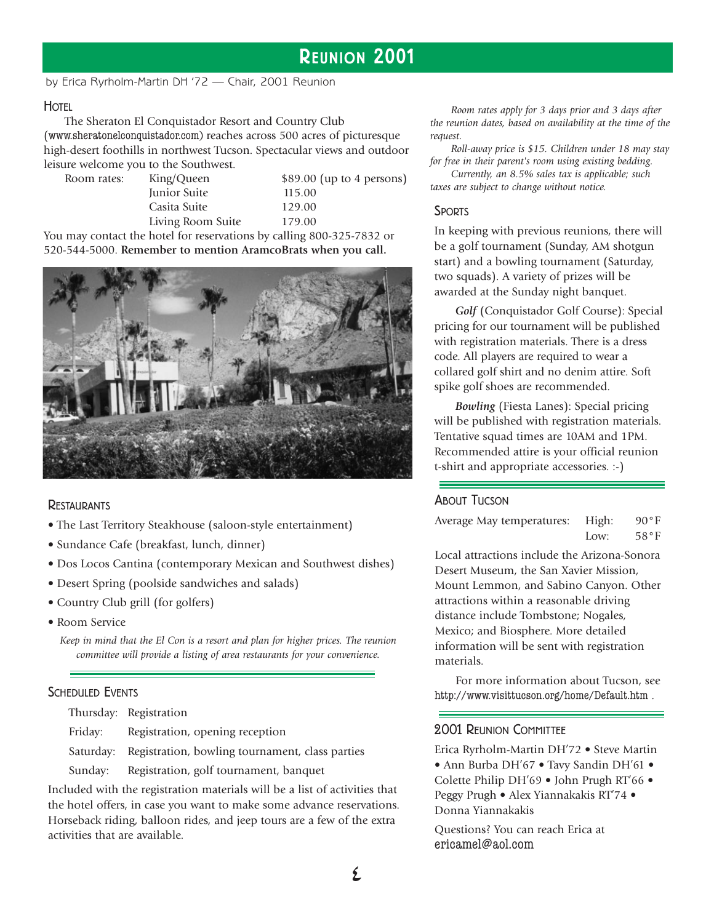# **REUNION 2001**

by Erica Ryrholm-Martin DH '72 — Chair, 2001 Reunion

### **HOTEL**

The Sheraton El Conquistador Resort and Country Club (www.sheratonelconquistador.com) reaches across 500 acres of picturesque high-desert foothills in northwest Tucson. Spectacular views and outdoor leisure welcome you to the Southwest.

| Room rates: | King/Queen        | $$89.00$ (up to 4 persons) |
|-------------|-------------------|----------------------------|
|             | Junior Suite      | 115.00                     |
|             | Casita Suite      | 129.00                     |
|             | Living Room Suite | 179.00                     |
|             |                   |                            |

You may contact the hotel for reservations by calling 800-325-7832 or 520-544-5000. **Remember to mention AramcoBrats when you call.**



### **RESTAURANTS**

- The Last Territory Steakhouse (saloon-style entertainment)
- Sundance Cafe (breakfast, lunch, dinner)
- Dos Locos Cantina (contemporary Mexican and Southwest dishes)
- Desert Spring (poolside sandwiches and salads)
- Country Club grill (for golfers)
- Room Service

*Keep in mind that the El Con is a resort and plan for higher prices. The reunion committee will provide a listing of area restaurants for your convenience.*

## SCHEDULED EVENTS

|         | Thursday: Registration                                    |
|---------|-----------------------------------------------------------|
| Friday: | Registration, opening reception                           |
|         | Saturday: Registration, bowling tournament, class parties |
| Sunday: | Registration, golf tournament, banquet                    |
|         |                                                           |

Included with the registration materials will be a list of activities that the hotel offers, in case you want to make some advance reservations. Horseback riding, balloon rides, and jeep tours are a few of the extra activities that are available.

*Room rates apply for 3 days prior and 3 days after the reunion dates, based on availability at the time of the request.*

*Roll-away price is \$15. Children under 18 may stay for free in their parent's room using existing bedding.*

*Currently, an 8.5% sales tax is applicable; such taxes are subject to change without notice.*

## SPORTS

In keeping with previous reunions, there will be a golf tournament (Sunday, AM shotgun start) and a bowling tournament (Saturday, two squads). A variety of prizes will be awarded at the Sunday night banquet.

*Golf* (Conquistador Golf Course): Special pricing for our tournament will be published with registration materials. There is a dress code. All players are required to wear a collared golf shirt and no denim attire. Soft spike golf shoes are recommended.

*Bowling* (Fiesta Lanes): Special pricing will be published with registration materials. Tentative squad times are 10AM and 1PM. Recommended attire is your official reunion t-shirt and appropriate accessories. :-)

## **ABOUT TUCSON**

| Average May temperatures: | High: | $90^{\circ}$ F |
|---------------------------|-------|----------------|
|                           | Low:  | $58^{\circ}$ F |

Local attractions include the Arizona-Sonora Desert Museum, the San Xavier Mission, Mount Lemmon, and Sabino Canyon. Other attractions within a reasonable driving distance include Tombstone; Nogales, Mexico; and Biosphere. More detailed information will be sent with registration materials.

For more information about Tucson, see http://www.visittucson.org/home/Default.htm .

## 2001 REUNION COMMITTEE

Erica Ryrholm-Martin DH'72 • Steve Martin • Ann Burba DH'67 • Tavy Sandin DH'61 • Colette Philip DH'69 • John Prugh RT'66 • Peggy Prugh • Alex Yiannakakis RT'74 • Donna Yiannakakis

Questions? You can reach Erica at ericamel@aol.com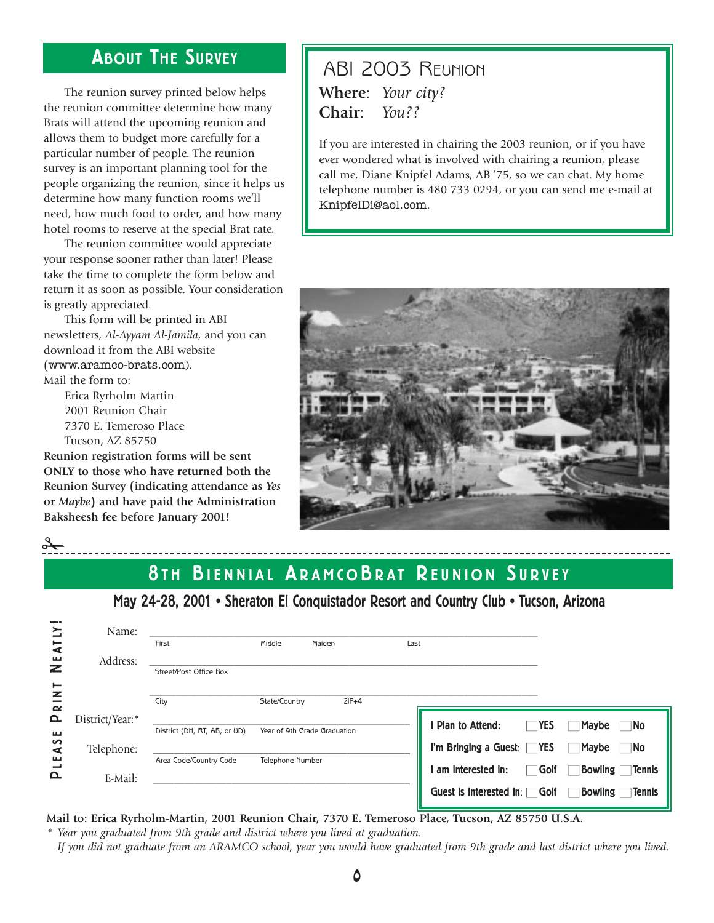## **ABOUT THE SURVEY**

The reunion survey printed below helps the reunion committee determine how many Brats will attend the upcoming reunion and allows them to budget more carefully for a particular number of people. The reunion survey is an important planning tool for the people organizing the reunion, since it helps us determine how many function rooms we'll need, how much food to order, and how many hotel rooms to reserve at the special Brat rate.

The reunion committee would appreciate your response sooner rather than later! Please take the time to complete the form below and return it as soon as possible. Your consideration is greatly appreciated.

This form will be printed in ABI newsletters, *Al-Ayyam Al-Jamila*, and you can download it from the ABI website (www.aramco-brats.com). Mail the form to:

Erica Ryrholm Martin 2001 Reunion Chair 7370 E. Temeroso Place Tucson, AZ 85750

 $\frac{1}{\sqrt{2}}$ 

**Reunion registration forms will be sent ONLY to those who have returned both the Reunion Survey (indicating attendance as** *Yes* **or** *Maybe***) and have paid the Administration Baksheesh fee before January 2001!**

# ABI 2003 REUNION **Where**: *Your city?* **Chair**: *You??*

If you are interested in chairing the 2003 reunion, or if you have ever wondered what is involved with chairing a reunion, please call me, Diane Knipfel Adams, AB '75, so we can chat. My home telephone number is 480 733 0294, or you can send me e-mail at KnipfelDi@aol.com.



# **8 T H B I E N N IAL A R AMCO B R AT R E U N ION S U RVE Y**

## **May 24-28, 2001 • Sheraton El Conquistador Resort and Country Club • Tucson, Arizona**

| --<br>$\geq$                          | Name:           |                              |                              |        |         |      |                                  |                                       |
|---------------------------------------|-----------------|------------------------------|------------------------------|--------|---------|------|----------------------------------|---------------------------------------|
| $\overline{A}$                        |                 | First                        | Middle                       | Maiden |         | Last |                                  |                                       |
| Ė                                     | Address:        |                              |                              |        |         |      |                                  |                                       |
| z                                     |                 | Street/Post Office Box       |                              |        |         |      |                                  |                                       |
| $\overline{ }$                        |                 |                              |                              |        |         |      |                                  |                                       |
| $\mathbf{z}$<br>$\boldsymbol{\alpha}$ |                 | City                         | State/Country                |        | $ZIP+4$ |      |                                  |                                       |
| $\Delta$                              | District/Year:* |                              |                              |        |         |      | Plan to Attend:<br>$\Box$ YES    | Maybe                                 |
| ш                                     |                 | District (DH, RT, AB, or UD) | Year of 9th Grade Graduation |        |         |      |                                  | $\Box$ No                             |
| $\sim$<br>$\blacktriangleleft$        | Telephone:      |                              |                              |        |         |      | I'm Bringing a Guest: YES        | Maybe<br>$\square$ No<br>$\mathbb{R}$ |
| ш                                     |                 | Area Code/Country Code       | <b>Telephone Number</b>      |        |         |      | $\Box$ Golf<br>am interested in: | Bowling $\Box$ Tennis                 |
| $\Omega$                              | E-Mail:         |                              |                              |        |         |      |                                  |                                       |
|                                       |                 |                              |                              |        |         |      | Guest is interested in: Golf     | <b>Bowling</b><br><b>Tennis</b>       |

**Mail to: Erica Ryrholm-Martin, 2001 Reunion Chair, 7370 E. Temeroso Place, Tucson, AZ 85750 U.S.A.**

*\* Year you graduated from 9th grade and district where you lived at graduation.*

*If you did not graduate from an ARAMCO school, year you would have graduated from 9th grade and last district where you lived.*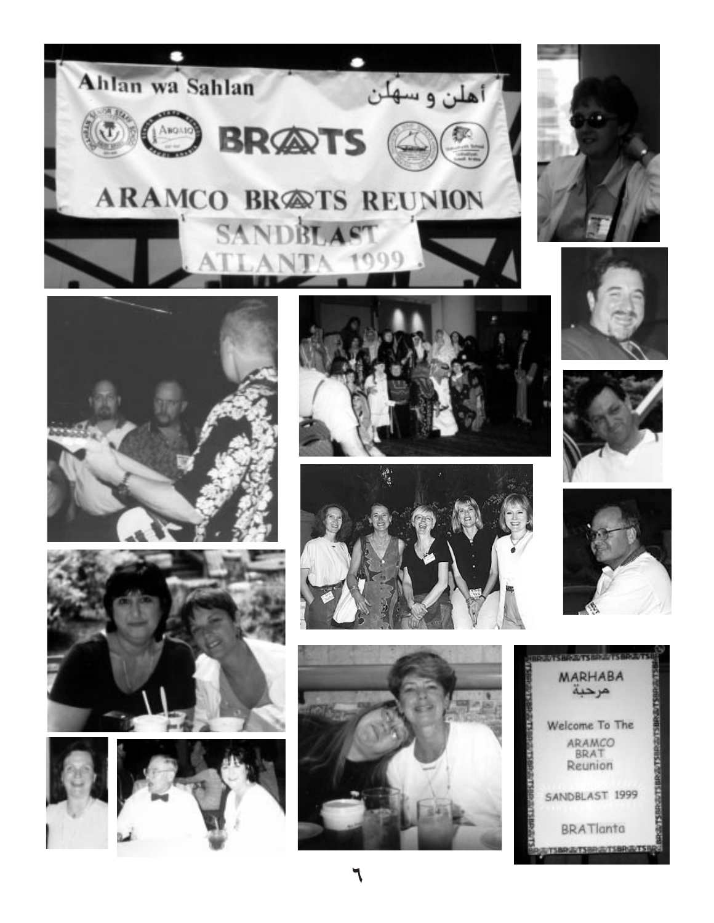







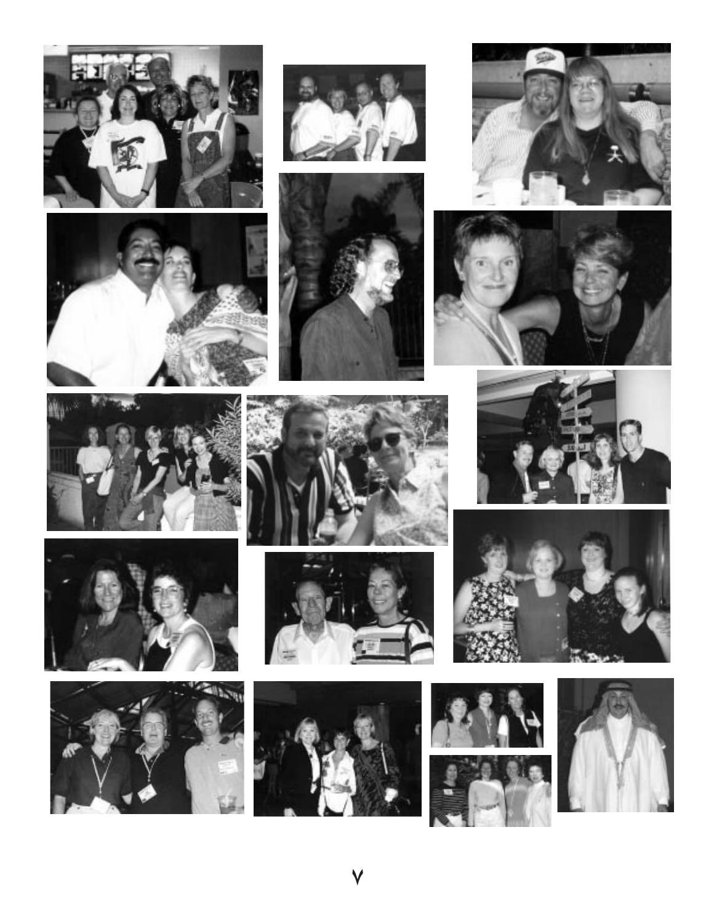



























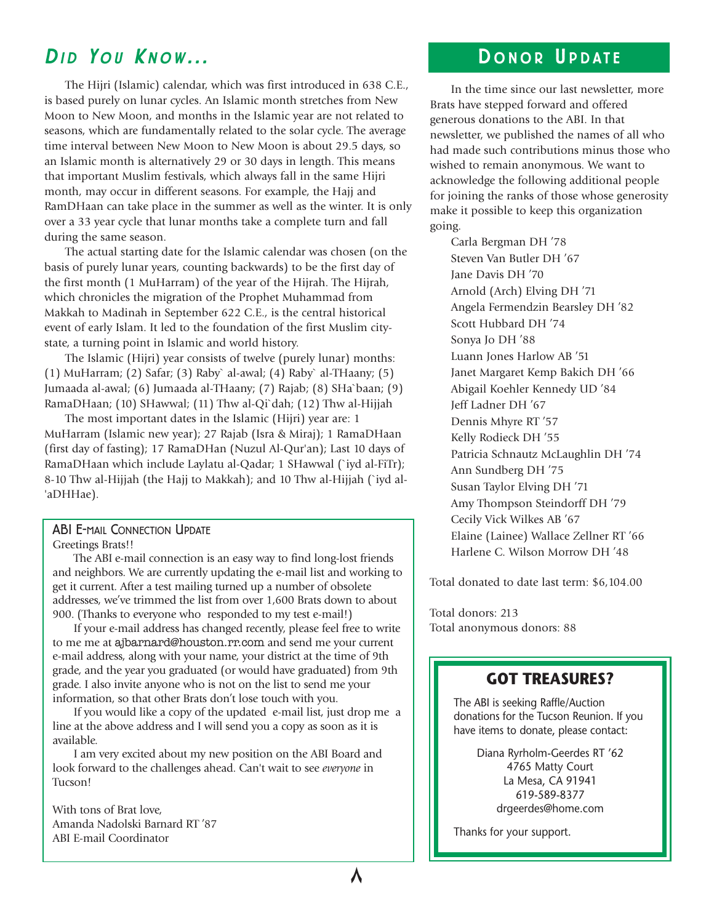# **DI D Y O U K NOW ...**

The Hijri (Islamic) calendar, which was first introduced in 638 C.E., is based purely on lunar cycles. An Islamic month stretches from New Moon to New Moon, and months in the Islamic year are not related to seasons, which are fundamentally related to the solar cycle. The average time interval between New Moon to New Moon is about 29.5 days, so an Islamic month is alternatively 29 or 30 days in length. This means that important Muslim festivals, which always fall in the same Hijri month, may occur in different seasons. For example, the Hajj and RamDHaan can take place in the summer as well as the winter. It is only over a 33 year cycle that lunar months take a complete turn and fall during the same season.

The actual starting date for the Islamic calendar was chosen (on the basis of purely lunar years, counting backwards) to be the first day of the first month (1 MuHarram) of the year of the Hijrah. The Hijrah, which chronicles the migration of the Prophet Muhammad from Makkah to Madinah in September 622 C.E., is the central historical event of early Islam. It led to the foundation of the first Muslim citystate, a turning point in Islamic and world history.

The Islamic (Hijri) year consists of twelve (purely lunar) months: (1) MuHarram; (2) Safar; (3) Raby` al-awal; (4) Raby` al-THaany; (5) Jumaada al-awal; (6) Jumaada al-THaany; (7) Rajab; (8) SHa`baan; (9) RamaDHaan; (10) SHawwal; (11) Thw al-Qi`dah; (12) Thw al-Hijjah

The most important dates in the Islamic (Hijri) year are: 1 MuHarram (Islamic new year); 27 Rajab (Isra & Miraj); 1 RamaDHaan (first day of fasting); 17 RamaDHan (Nuzul Al-Qur'an); Last 10 days of RamaDHaan which include Laylatu al-Qadar; 1 SHawwal (`iyd al-FiTr); 8-10 Thw al-Hijjah (the Hajj to Makkah); and 10 Thw al-Hijjah (`iyd al- 'aDHHae).

## ABI E-MAIL CONNECTION UPDATE

Greetings Brats!!

The ABI e-mail connection is an easy way to find long-lost friends and neighbors. We are currently updating the e-mail list and working to get it current. After a test mailing turned up a number of obsolete addresses, we've trimmed the list from over 1,600 Brats down to about 900. (Thanks to everyone who responded to my test e-mail!)

If your e-mail address has changed recently, please feel free to write to me me at ajbarnard@houston.rr.com and send me your current e-mail address, along with your name, your district at the time of 9th grade, and the year you graduated (or would have graduated) from 9th grade. I also invite anyone who is not on the list to send me your information, so that other Brats don't lose touch with you.

If you would like a copy of the updated e-mail list, just drop me a line at the above address and I will send you a copy as soon as it is available.

I am very excited about my new position on the ABI Board and look forward to the challenges ahead. Can't wait to see *everyone* in Tucson!

With tons of Brat love, Amanda Nadolski Barnard RT '87 ABI E-mail Coordinator

## **D ONOR U P D AT E**

In the time since our last newsletter, more Brats have stepped forward and offered generous donations to the ABI. In that newsletter, we published the names of all who had made such contributions minus those who wished to remain anonymous. We want to acknowledge the following additional people for joining the ranks of those whose generosity make it possible to keep this organization going.

Carla Bergman DH '78 Steven Van Butler DH '67 Jane Davis DH '70 Arnold (Arch) Elving DH '71 Angela Fermendzin Bearsley DH '82 Scott Hubbard DH '74 Sonya Jo DH '88 Luann Jones Harlow AB '51 Janet Margaret Kemp Bakich DH '66 Abigail Koehler Kennedy UD '84 Jeff Ladner DH '67 Dennis Mhyre RT '57 Kelly Rodieck DH '55 Patricia Schnautz McLaughlin DH '74 Ann Sundberg DH '75 Susan Taylor Elving DH '71 Amy Thompson Steindorff DH '79 Cecily Vick Wilkes AB '67 Elaine (Lainee) Wallace Zellner RT '66 Harlene C. Wilson Morrow DH '48

Total donated to date last term: \$6,104.00

Total donors: 213 Total anonymous donors: 88

## **GOT TREASURES?**

The ABI is seeking Raffle/Auction donations for the Tucson Reunion. If you have items to donate, please contact:

> Diana Ryrholm-Geerdes RT '62 4765 Matty Court La Mesa, CA 91941 619-589-8377 drgeerdes@home.com

Thanks for your support.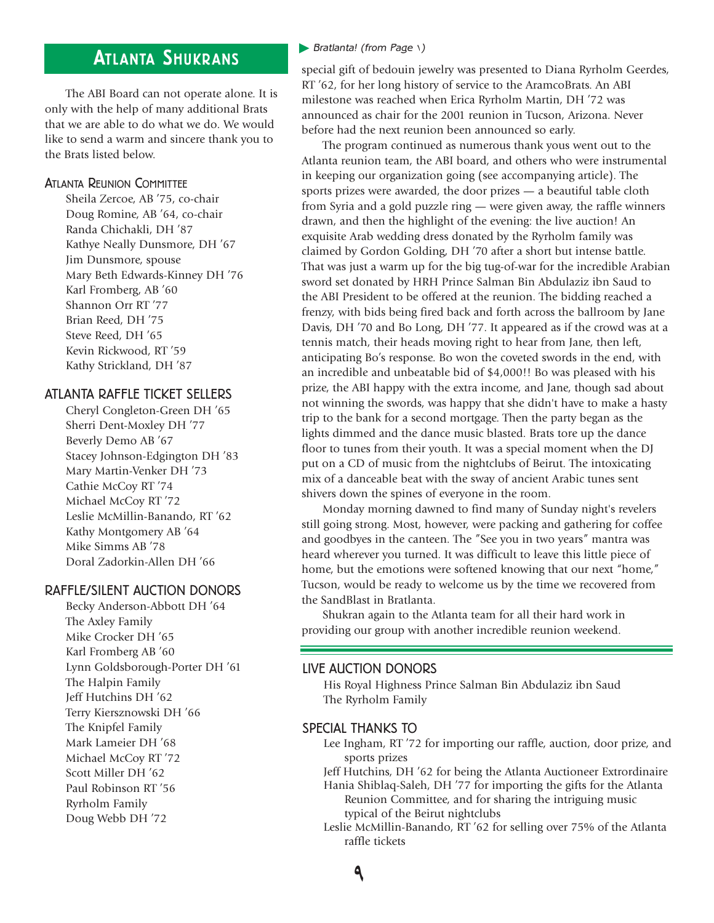#### $\blacktriangleright$  Bratlanta! (from Page \)

## **ATLANTA SHUKRANS**

The ABI Board can not operate alone. It is only with the help of many additional Brats that we are able to do what we do. We would like to send a warm and sincere thank you to the Brats listed below.

### ATLANTA REUNION COMMITTEE

Sheila Zercoe, AB '75, co-chair Doug Romine, AB '64, co-chair Randa Chichakli, DH '87 Kathye Neally Dunsmore, DH '67 Jim Dunsmore, spouse Mary Beth Edwards-Kinney DH '76 Karl Fromberg, AB '60 Shannon Orr RT '77 Brian Reed, DH '75 Steve Reed, DH '65 Kevin Rickwood, RT '59 Kathy Strickland, DH '87

## ATLANTA RAFFLE TICKET SELLERS

Cheryl Congleton-Green DH '65 Sherri Dent-Moxley DH '77 Beverly Demo AB '67 Stacey Johnson-Edgington DH '83 Mary Martin-Venker DH '73 Cathie McCoy RT '74 Michael McCoy RT '72 Leslie McMillin-Banando, RT '62 Kathy Montgomery AB '64 Mike Simms AB '78 Doral Zadorkin-Allen DH '66

## RAFFLE/SILENT AUCTION DONORS

Becky Anderson-Abbott DH '64 The Axley Family Mike Crocker DH '65 Karl Fromberg AB '60 Lynn Goldsborough-Porter DH '61 The Halpin Family Jeff Hutchins DH '62 Terry Kiersznowski DH '66 The Knipfel Family Mark Lameier DH '68 Michael McCoy RT '72 Scott Miller DH '62 Paul Robinson RT '56 Ryrholm Family Doug Webb DH '72

special gift of bedouin jewelry was presented to Diana Ryrholm Geerdes, RT '62, for her long history of service to the AramcoBrats. An ABI milestone was reached when Erica Ryrholm Martin, DH '72 was announced as chair for the 2001 reunion in Tucson, Arizona. Never before had the next reunion been announced so early.

The program continued as numerous thank yous went out to the Atlanta reunion team, the ABI board, and others who were instrumental in keeping our organization going (see accompanying article). The sports prizes were awarded, the door prizes — a beautiful table cloth from Syria and a gold puzzle ring — were given away, the raffle winners drawn, and then the highlight of the evening: the live auction! An exquisite Arab wedding dress donated by the Ryrholm family was claimed by Gordon Golding, DH '70 after a short but intense battle. That was just a warm up for the big tug-of-war for the incredible Arabian sword set donated by HRH Prince Salman Bin Abdulaziz ibn Saud to the ABI President to be offered at the reunion. The bidding reached a frenzy, with bids being fired back and forth across the ballroom by Jane Davis, DH '70 and Bo Long, DH '77. It appeared as if the crowd was at a tennis match, their heads moving right to hear from Jane, then left, anticipating Bo's response. Bo won the coveted swords in the end, with an incredible and unbeatable bid of \$4,000!! Bo was pleased with his prize, the ABI happy with the extra income, and Jane, though sad about not winning the swords, was happy that she didn't have to make a hasty trip to the bank for a second mortgage. Then the party began as the lights dimmed and the dance music blasted. Brats tore up the dance floor to tunes from their youth. It was a special moment when the DJ put on a CD of music from the nightclubs of Beirut. The intoxicating mix of a danceable beat with the sway of ancient Arabic tunes sent shivers down the spines of everyone in the room.

Monday morning dawned to find many of Sunday night's revelers still going strong. Most, however, were packing and gathering for coffee and goodbyes in the canteen. The "See you in two years" mantra was heard wherever you turned. It was difficult to leave this little piece of home, but the emotions were softened knowing that our next "home," Tucson, would be ready to welcome us by the time we recovered from the SandBlast in Bratlanta.

Shukran again to the Atlanta team for all their hard work in providing our group with another incredible reunion weekend.

## LIVE AUCTION DONORS

His Royal Highness Prince Salman Bin Abdulaziz ibn Saud The Ryrholm Family

#### SPECIAL THANKS TO

- Lee Ingham, RT '72 for importing our raffle, auction, door prize, and sports prizes
- Jeff Hutchins, DH '62 for being the Atlanta Auctioneer Extrordinaire Hania Shiblaq-Saleh, DH '77 for importing the gifts for the Atlanta
	- Reunion Committee, and for sharing the intriguing music typical of the Beirut nightclubs
- Leslie McMillin-Banando, RT '62 for selling over 75% of the Atlanta raffle tickets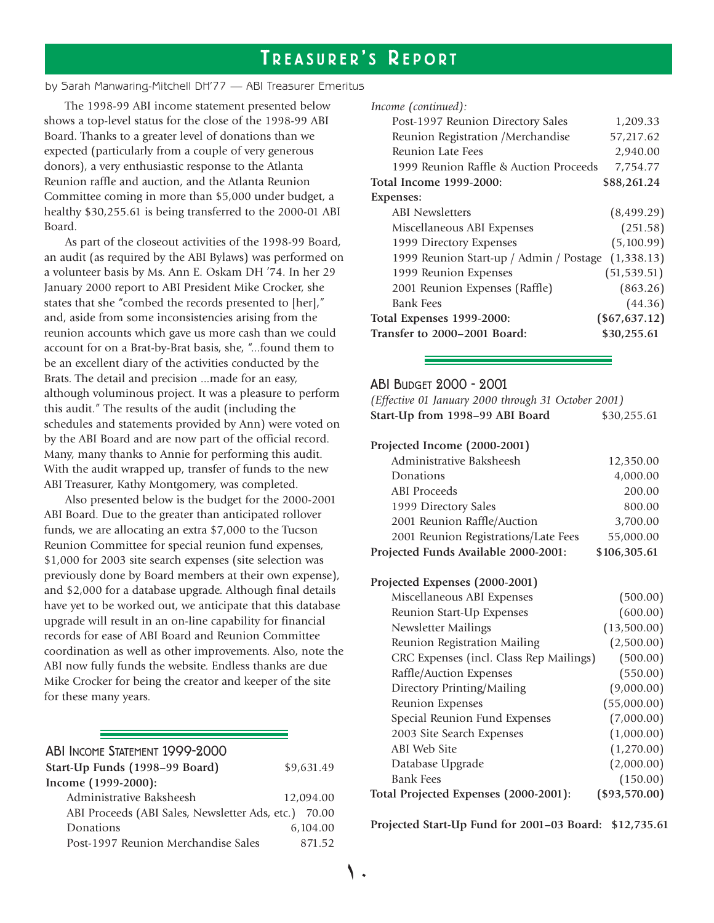## $T$  **REASURER'S REPORT**

### by Sarah Manwaring-Mitchell DH'77 — ABI Treasurer Emeritus

The 1998-99 ABI income statement presented below shows a top-level status for the close of the 1998-99 ABI Board. Thanks to a greater level of donations than we expected (particularly from a couple of very generous donors), a very enthusiastic response to the Atlanta Reunion raffle and auction, and the Atlanta Reunion Committee coming in more than \$5,000 under budget, a healthy \$30,255.61 is being transferred to the 2000-01 ABI Board.

As part of the closeout activities of the 1998-99 Board, an audit (as required by the ABI Bylaws) was performed on a volunteer basis by Ms. Ann E. Oskam DH '74. In her 29 January 2000 report to ABI President Mike Crocker, she states that she "combed the records presented to [her]," and, aside from some inconsistencies arising from the reunion accounts which gave us more cash than we could account for on a Brat-by-Brat basis, she, "...found them to be an excellent diary of the activities conducted by the Brats. The detail and precision ...made for an easy, although voluminous project. It was a pleasure to perform this audit." The results of the audit (including the schedules and statements provided by Ann) were voted on by the ABI Board and are now part of the official record. Many, many thanks to Annie for performing this audit. With the audit wrapped up, transfer of funds to the new ABI Treasurer, Kathy Montgomery, was completed.

Also presented below is the budget for the 2000-2001 ABI Board. Due to the greater than anticipated rollover funds, we are allocating an extra \$7,000 to the Tucson Reunion Committee for special reunion fund expenses, \$1,000 for 2003 site search expenses (site selection was previously done by Board members at their own expense), and \$2,000 for a database upgrade. Although final details have yet to be worked out, we anticipate that this database upgrade will result in an on-line capability for financial records for ease of ABI Board and Reunion Committee coordination as well as other improvements. Also, note the ABI now fully funds the website. Endless thanks are due Mike Crocker for being the creator and keeper of the site for these many years.

| ABI INCOME STATEMENT 1999-2000                       |            |
|------------------------------------------------------|------------|
|                                                      |            |
| Start-Up Funds (1998-99 Board)                       | \$9,631.49 |
| Income (1999-2000):                                  |            |
| Administrative Baksheesh                             | 12,094.00  |
| ABI Proceeds (ABI Sales, Newsletter Ads, etc.) 70.00 |            |
| Donations                                            | 6,104.00   |
| Post-1997 Reunion Merchandise Sales                  | 871.52     |

| Income (continued):                                |                     |
|----------------------------------------------------|---------------------|
| Post-1997 Reunion Directory Sales                  | 1,209.33            |
| Reunion Registration /Merchandise                  | 57,217.62           |
| Reunion Late Fees                                  | 2,940.00            |
| 1999 Reunion Raffle & Auction Proceeds             | 7,754.77            |
| Total Income 1999-2000:                            | \$88,261.24         |
| Expenses:                                          |                     |
| <b>ABI Newsletters</b>                             | (8,499.29)          |
| Miscellaneous ABI Expenses                         | (251.58)            |
| 1999 Directory Expenses                            | (5,100.99)          |
| 1999 Reunion Start-up / Admin / Postage (1,338.13) |                     |
| 1999 Reunion Expenses                              | (51, 539.51)        |
| 2001 Reunion Expenses (Raffle)                     | (863.26)            |
| Bank Fees                                          | (44.36)             |
| Total Expenses 1999-2000:                          | $($ \$67,637.12 $)$ |
| Transfer to 2000-2001 Board:                       | \$30,255.61         |
|                                                    |                     |

## ABI BUDGET 2000 - 2001

| (Effective 01 January 2000 through 31 October 2001) |             |
|-----------------------------------------------------|-------------|
| Start-Up from 1998-99 ABI Board                     | \$30,255.61 |

| Projected Income (2000-2001)         |              |
|--------------------------------------|--------------|
| Administrative Baksheesh             | 12,350.00    |
| Donations                            | 4,000.00     |
| <b>ABI</b> Proceeds                  | 200.00       |
| 1999 Directory Sales                 | 800.00       |
| 2001 Reunion Raffle/Auction          | 3,700.00     |
| 2001 Reunion Registrations/Late Fees | 55,000.00    |
| Projected Funds Available 2000-2001: | \$106,305.61 |
|                                      |              |

### **Projected Expenses (2000-2001)**

| Miscellaneous ABI Expenses              | (500.00)       |
|-----------------------------------------|----------------|
| Reunion Start-Up Expenses               | (600.00)       |
| Newsletter Mailings                     | (13,500.00)    |
| Reunion Registration Mailing            | (2,500.00)     |
| CRC Expenses (incl. Class Rep Mailings) | (500.00)       |
| Raffle/Auction Expenses                 | (550.00)       |
| Directory Printing/Mailing              | (9,000.00)     |
| Reunion Expenses                        | (55,000.00)    |
| Special Reunion Fund Expenses           | (7,000.00)     |
| 2003 Site Search Expenses               | (1,000.00)     |
| ABI Web Site                            | (1,270.00)     |
| Database Upgrade                        | (2,000.00)     |
| <b>Bank Fees</b>                        | (150.00)       |
| Total Projected Expenses (2000-2001):   | $(*93,570.00)$ |
|                                         |                |

**Projected Start-Up Fund for 2001–03 Board: \$12,735.61**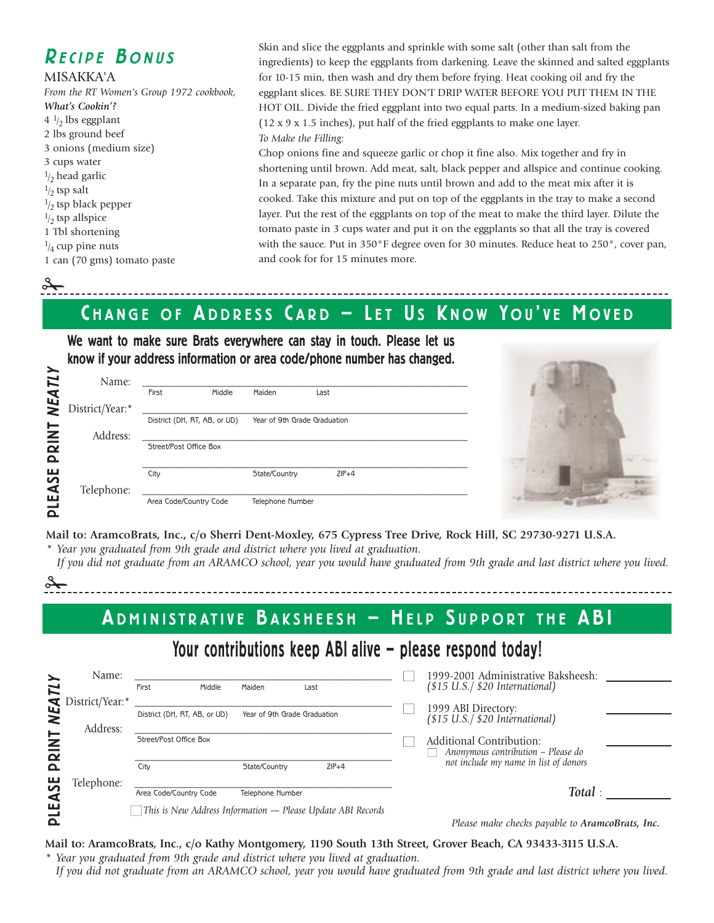# **R ECIPE B ONUS**

## MISAKKA'A

<u>sko</u>

*From the RT Women's Group 1972 cookbook, What's Cookin'?*  $4 \frac{1}{2}$  lbs eggplant 2 lbs ground beef 3 onions (medium size) 3 cups water  $\frac{1}{2}$  head garlic  $\frac{1}{2}$  tsp salt 1/ <sup>2</sup> tsp black pepper  $\frac{1}{2}$  tsp allspice 1 Tbl shortening  $\frac{1}{4}$  cup pine nuts 1 can (70 gms) tomato paste

Skin and slice the eggplants and sprinkle with some salt (other than salt from the ingredients) to keep the eggplants from darkening. Leave the skinned and salted eggplants for 10-15 min, then wash and dry them before frying. Heat cooking oil and fry the eggplant slices. BE SURE THEY DON'T DRIP WATER BEFORE YOU PUT THEM IN THE HOT OIL. Divide the fried eggplant into two equal parts. In a medium-sized baking pan (12 x 9 x 1.5 inches), put half of the fried eggplants to make one layer. *To Make the Filling:*

Chop onions fine and squeeze garlic or chop it fine also. Mix together and fry in shortening until brown. Add meat, salt, black pepper and allspice and continue cooking. In a separate pan, fry the pine nuts until brown and add to the meat mix after it is cooked. Take this mixture and put on top of the eggplants in the tray to make a second layer. Put the rest of the eggplants on top of the meat to make the third layer. Dilute the tomato paste in 3 cups water and put it on the eggplants so that all the tray is covered with the sauce. Put in 350°F degree oven for 30 minutes. Reduce heat to 250°, cover pan, and cook for for 15 minutes more.

# CHANGE OF ADDRESS CARD - LET US KNOW YOU'VE MOVED  $\frac{1}{\sqrt{2}}$

**We want to make sure Brats everywhere can stay in touch. Please let us know if your address information or area code/phone number has changed.**

| Name:           | First                  | Middle                       | Maiden                       | Last    |
|-----------------|------------------------|------------------------------|------------------------------|---------|
| District/Year:* |                        |                              |                              |         |
|                 |                        | District (DH, RT, AB, or UD) | Year of 9th Grade Graduation |         |
| Address:        |                        |                              |                              |         |
|                 | Street/Post Office Box |                              |                              |         |
|                 | City                   |                              | State/Country                | $ZIP+4$ |
| Telephone:      |                        |                              |                              |         |
|                 | Area Code/Country Code |                              | Telephone Number             |         |



**Mail to: AramcoBrats, Inc., c/o Sherri Dent-Moxley, 675 Cypress Tree Drive, Rock Hill, SC 29730-9271 U.S.A.**

*\* Year you graduated from 9th grade and district where you lived at graduation.*

*If you did not graduate from an ARAMCO school, year you would have graduated from 9th grade and last district where you lived.*

ADMINISTRATIVE BAKSHEESH - HELP SUPPORT THE ABI

# **Your contributions keep ABI alive — please respond today!**

| ш<br>$\mathbf{a}$                     |                             |                              | $\Box$ This is New Address Information $\Box$ Please Update ABI Records | Please make checks pavable to AramcoBrats. Inc.                             |
|---------------------------------------|-----------------------------|------------------------------|-------------------------------------------------------------------------|-----------------------------------------------------------------------------|
| 52<br>⋖                               | Telephone:                  | Area Code/Country Code       | <b>Telephone Number</b>                                                 | Total:                                                                      |
| $\boldsymbol{\alpha}$<br>$\mathbf{a}$ |                             | City                         | $ZIP+4$<br>State/Country                                                | Anonymous contribution - Please do<br>not include my name in list of donors |
| $\overline{\mathbf{z}}$               |                             | Street/Post Office Box       |                                                                         | <b>Additional Contribution:</b>                                             |
|                                       | District/Year:*<br>Address: | District (DH, RT, AB, or UD) | Year of 9th Grade Graduation                                            | 1999 ABI Directory:<br>(\$15 U.S./ \$20 International)                      |
| $\overline{L}$                        |                             | Middle<br>First              | Maiden<br>Last                                                          | $($15 \text{ U.S.}/ $20 \text{ International})$                             |
| ➤                                     | Name:                       |                              |                                                                         | 1999-2001 Administrative Baksheesh:                                         |

*Please make checks payable to AramcoBrats, Inc.*

**Mail to: AramcoBrats, Inc., c/o Kathy Montgomery, 1190 South 13th Street, Grover Beach, CA 93433-3115 U.S.A.** *\* Year you graduated from 9th grade and district where you lived at graduation.*

*If you did not graduate from an ARAMCO school, year you would have graduated from 9th grade and last district where you lived.*